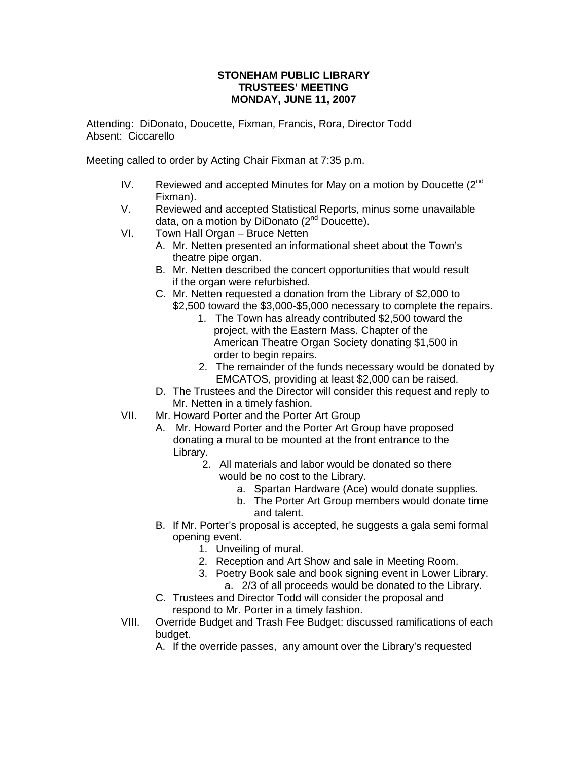## **STONEHAM PUBLIC LIBRARY TRUSTEES' MEETING MONDAY, JUNE 11, 2007**

Attending: DiDonato, Doucette, Fixman, Francis, Rora, Director Todd Absent: Ciccarello

Meeting called to order by Acting Chair Fixman at 7:35 p.m.

- IV. Reviewed and accepted Minutes for May on a motion by Doucette  $(2^{nd}$ Fixman).
- V. Reviewed and accepted Statistical Reports, minus some unavailable data, on a motion by DiDonato (2<sup>nd</sup> Doucette).
- VI. Town Hall Organ Bruce Netten
	- A. Mr. Netten presented an informational sheet about the Town's theatre pipe organ.
	- B. Mr. Netten described the concert opportunities that would result if the organ were refurbished.
	- C. Mr. Netten requested a donation from the Library of \$2,000 to \$2,500 toward the \$3,000-\$5,000 necessary to complete the repairs.
		- 1. The Town has already contributed \$2,500 toward the project, with the Eastern Mass. Chapter of the American Theatre Organ Society donating \$1,500 in order to begin repairs.
		- 2. The remainder of the funds necessary would be donated by EMCATOS, providing at least \$2,000 can be raised.
	- D. The Trustees and the Director will consider this request and reply to Mr. Netten in a timely fashion.
- VII. Mr. Howard Porter and the Porter Art Group
	- A. Mr. Howard Porter and the Porter Art Group have proposed donating a mural to be mounted at the front entrance to the Library.
		- 2. All materials and labor would be donated so there would be no cost to the Library.
			- a. Spartan Hardware (Ace) would donate supplies.
			- b. The Porter Art Group members would donate time and talent.
	- B. If Mr. Porter's proposal is accepted, he suggests a gala semi formal opening event.
		- 1. Unveiling of mural.
		- 2. Reception and Art Show and sale in Meeting Room.
		- 3. Poetry Book sale and book signing event in Lower Library. a. 2/3 of all proceeds would be donated to the Library.
	- C. Trustees and Director Todd will consider the proposal and respond to Mr. Porter in a timely fashion.
- VIII. Override Budget and Trash Fee Budget: discussed ramifications of each budget.
	- A. If the override passes, any amount over the Library's requested